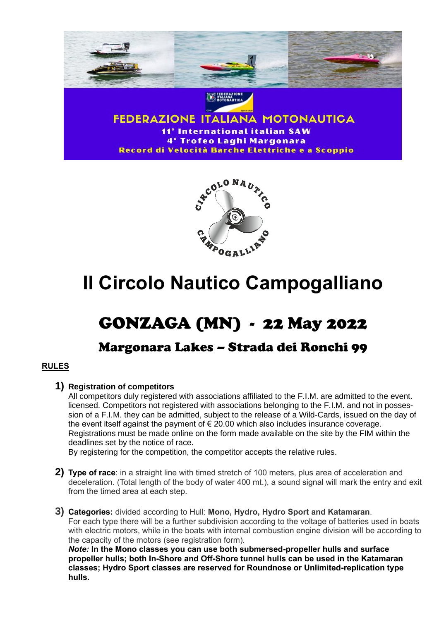



# **Il Circolo Nautico Campogalliano**

# GONZAGA (MN) - 22 May 2022

# Margonara Lakes – Strada dei Ronchi 99

# **RULES**

# **1) Registration of competitors**

All competitors duly registered with associations affiliated to the F.I.M. are admitted to the event. licensed. Competitors not registered with associations belonging to the F.I.M. and not in possession of a F.I.M. they can be admitted, subject to the release of a Wild-Cards, issued on the day of the event itself against the payment of  $\epsilon$  20.00 which also includes insurance coverage. Registrations must be made online on the form made available on the site by the FIM within the deadlines set by the notice of race.

By registering for the competition, the competitor accepts the relative rules.

- **2) Type of race**: in a straight line with timed stretch of 100 meters, plus area of acceleration and deceleration. (Total length of the body of water 400 mt.), a sound signal will mark the entry and exit from the timed area at each step.
- **3) Categories:** divided according to Hull: **Mono, Hydro, Hydro Sport and Katamaran**. For each type there will be a further subdivision according to the voltage of batteries used in boats with electric motors, while in the boats with internal combustion engine division will be according to the capacity of the motors (see registration form).

*Note:* **In the Mono classes you can use both submersed-propeller hulls and surface propeller hulls; both In-Shore and Off-Shore tunnel hulls can be used in the Katamaran classes; Hydro Sport classes are reserved for Roundnose or Unlimited-replication type hulls.**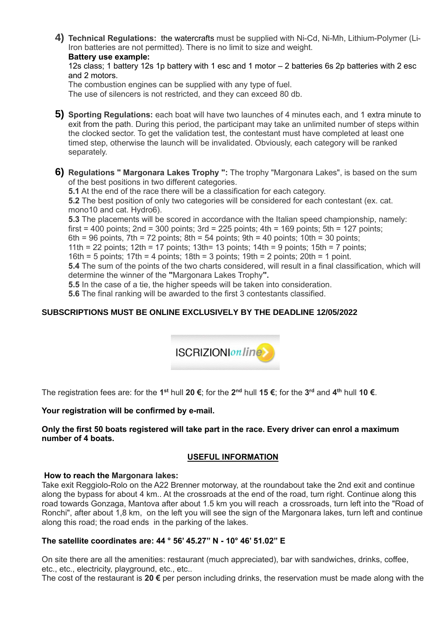**4) Technical Regulations:** the watercrafts must be supplied with Ni-Cd, Ni-Mh, Lithium-Polymer (Li-Iron batteries are not permitted). There is no limit to size and weight.

**Battery use example:**

12s class; 1 battery 12s 1p battery with 1 esc and 1 motor – 2 batteries 6s 2p batteries with 2 esc and 2 motors.

The combustion engines can be supplied with any type of fuel.

The use of silencers is not restricted, and they can exceed 80 db.

- **5) Sporting Regulations:** each boat will have two launches of 4 minutes each, and 1 extra minute to exit from the path. During this period, the participant may take an unlimited number of steps within the clocked sector. To get the validation test, the contestant must have completed at least one timed step, otherwise the launch will be invalidated. Obviously, each category will be ranked separately.
- **6) Regulations " Margonara Lakes Trophy ":** The trophy "Margonara Lakes", is based on the sum of the best positions in two different categories.

**5.1** At the end of the race there will be a classification for each category. **5.2** The best position of only two categories will be considered for each contestant (ex. cat. mono10 and cat. Hydro6).

**5.3** The placements will be scored in accordance with the Italian speed championship, namely: first = 400 points; 2nd = 300 points; 3rd = 225 points; 4th = 169 points; 5th = 127 points;

6th = 96 points,  $7th = 72$  points;  $8th = 54$  points;  $9th = 40$  points;  $10th = 30$  points;

11th = 22 points;  $12$ th = 17 points;  $13$ th = 13 points;  $14$ th = 9 points;  $15$ th = 7 points;

16th = 5 points; 17th = 4 points; 18th = 3 points; 19th = 2 points; 20th = 1 point.

**5.4** The sum of the points of the two charts considered, will result in a final classification, which will determine the winner of the **"**Margonara Lakes Trophy**".**

**5.5** In the case of a tie, the higher speeds will be taken into consideration.

**5.6** The final ranking will be awarded to the first 3 contestants classified.

### **SUBSCRIPTIONS MUST BE ONLINE EXCLUSIVELY BY THE DEADLINE 12/05/2022**



The registration fees are: for the 1<sup>st</sup> hull 20 €; for the 2<sup>nd</sup> hull 15 €; for the 3<sup>rd</sup> and 4<sup>th</sup> hull 10 €.

#### **Your registration will be confirmed by e-mail.**

#### **Only the first 50 boats registered will take part in the race. Every driver can enrol a maximum number of 4 boats.**

### **USEFUL INFORMATION**

#### **How to reach the Margonara lakes:**

Take exit Reggiolo-Rolo on the A22 Brenner motorway, at the roundabout take the 2nd exit and continue along the bypass for about 4 km.. At the crossroads at the end of the road, turn right. Continue along this road towards Gonzaga, Mantova after about 1.5 km you will reach a crossroads, turn left into the "Road of Ronchi", after about 1,8 km, on the left you will see the sign of the Margonara lakes, turn left and continue along this road; the road ends in the parking of the lakes.

#### **The satellite coordinates are: 44 ° 56' 45.27" N - 10° 46' 51.02" E**

On site there are all the amenities: restaurant (much appreciated), bar with sandwiches, drinks, coffee, etc., etc., electricity, playground, etc., etc..

The cost of the restaurant is **20 €** per person including drinks, the reservation must be made along with the